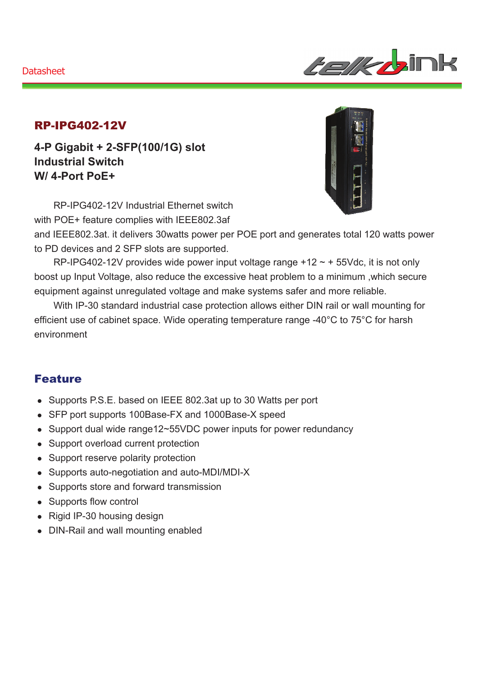#### **Datasheet**



### RP-IPG402-12V

**4-P Gigabit + 2-SFP(100/1G) slot Industrial Switch W/ 4-Port PoE+** 

RP-IPG402-12V Industrial Ethernet switch with POE+ feature complies with IEEE802.3af



and IEEE802.3at. it delivers 30watts power per POE port and generates total 120 watts power to PD devices and 2 SFP slots are supported.

RP-IPG402-12V provides wide power input voltage range  $+12 \sim +55$ Vdc, it is not only boost up Input Voltage, also reduce the excessive heat problem to a minimum ,which secure equipment against unregulated voltage and make systems safer and more reliable.

With IP-30 standard industrial case protection allows either DIN rail or wall mounting for efficient use of cabinet space. Wide operating temperature range -40°C to 75°C for harsh environment

### Feature

- Supports P.S.E. based on IEEE 802.3at up to 30 Watts per port
- SFP port supports 100Base-FX and 1000Base-X speed
- Support dual wide range12~55VDC power inputs for power redundancy
- Support overload current protection
- Support reserve polarity protection
- Supports auto-negotiation and auto-MDI/MDI-X
- Supports store and forward transmission
- Supports flow control
- $\bullet$  Rigid IP-30 housing design
- DIN-Rail and wall mounting enabled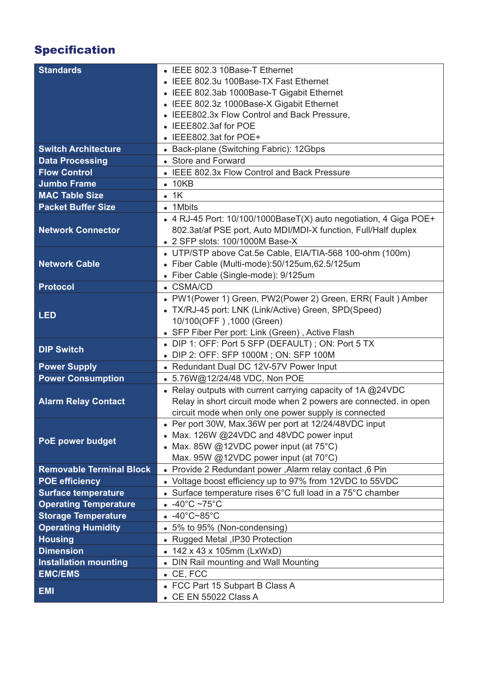# Specification

| <b>Standards</b>                | • IEEE 802.3 10Base-T Ethernet                                    |
|---------------------------------|-------------------------------------------------------------------|
|                                 | • IEEE 802.3u 100Base-TX Fast Ethernet                            |
|                                 | • IEEE 802.3ab 1000Base-T Gigabit Ethernet                        |
|                                 | • IEEE 802.3z 1000Base-X Gigabit Ethernet                         |
|                                 | • IEEE802.3x Flow Control and Back Pressure,                      |
|                                 | IEEE802.3af for POE                                               |
|                                 | • IEEE802.3at for POE+                                            |
| <b>Switch Architecture</b>      | • Back-plane (Switching Fabric): 12Gbps                           |
| <b>Data Processing</b>          | • Store and Forward                                               |
| <b>Flow Control</b>             | • IEEE 802.3x Flow Control and Back Pressure                      |
| <b>Jumbo Frame</b>              | $\bullet$ 10KB                                                    |
| <b>MAC Table Size</b>           | $-1K$                                                             |
| <b>Packet Buffer Size</b>       | • 1Mbits                                                          |
|                                 | • 4 RJ-45 Port: 10/100/1000BaseT(X) auto negotiation, 4 Giga POE+ |
| <b>Network Connector</b>        | 802.3at/af PSE port, Auto MDI/MDI-X function, Full/Half duplex    |
|                                 | • 2 SFP slots: 100/1000M Base-X                                   |
|                                 | • UTP/STP above Cat.5e Cable, EIA/TIA-568 100-ohm (100m)          |
| <b>Network Cable</b>            | · Fiber Cable (Multi-mode):50/125um,62.5/125um                    |
|                                 | • Fiber Cable (Single-mode): 9/125um                              |
| <b>Protocol</b>                 | • CSMA/CD                                                         |
|                                 | • PW1(Power 1) Green, PW2(Power 2) Green, ERR( Fault) Amber       |
| <b>LED</b>                      | • TX/RJ-45 port: LNK (Link/Active) Green, SPD(Speed)              |
|                                 | 10/100(OFF), 1000 (Green)                                         |
|                                 | • SFP Fiber Per port: Link (Green), Active Flash                  |
| <b>DIP Switch</b>               | • DIP 1: OFF: Port 5 SFP (DEFAULT); ON: Port 5 TX                 |
|                                 | • DIP 2: OFF: SFP 1000M; ON: SFP 100M                             |
| <b>Power Supply</b>             | • Redundant Dual DC 12V-57V Power Input                           |
| <b>Power Consumption</b>        | • 5.76W@12/24/48 VDC, Non POE                                     |
|                                 | • Relay outputs with current carrying capacity of 1A @24VDC       |
| <b>Alarm Relay Contact</b>      | Relay in short circuit mode when 2 powers are connected. in open  |
|                                 | circuit mode when only one power supply is connected              |
|                                 | • Per port 30W, Max.36W per port at 12/24/48VDC input             |
| <b>PoE power budget</b>         | • Max. 126W @24VDC and 48VDC power input                          |
|                                 | • Max. 85W @12VDC power input (at $75^{\circ}$ C)                 |
|                                 | Max. 95W @12VDC power input (at 70°C)                             |
| <b>Removable Terminal Block</b> | . Provide 2 Redundant power, Alarm relay contact, 6 Pin           |
| <b>POE efficiency</b>           | • Voltage boost efficiency up to 97% from 12VDC to 55VDC          |
| <b>Surface temperature</b>      | • Surface temperature rises 6°C full load in a 75°C chamber       |
| <b>Operating Temperature</b>    | $-40^{\circ}$ C ~75 $^{\circ}$ C                                  |
| <b>Storage Temperature</b>      | $-40^{\circ}$ C~85 $^{\circ}$ C                                   |
| <b>Operating Humidity</b>       | • 5% to 95% (Non-condensing)                                      |
| <b>Housing</b>                  | • Rugged Metal , IP30 Protection                                  |
| <b>Dimension</b>                | • 142 x 43 x 105mm (LxWxD)                                        |
| <b>Installation mounting</b>    | • DIN Rail mounting and Wall Mounting                             |
| <b>EMC/EMS</b>                  | $\bullet$ CE, FCC                                                 |
| <b>EMI</b>                      | • FCC Part 15 Subpart B Class A                                   |
|                                 | • CE EN 55022 Class A                                             |